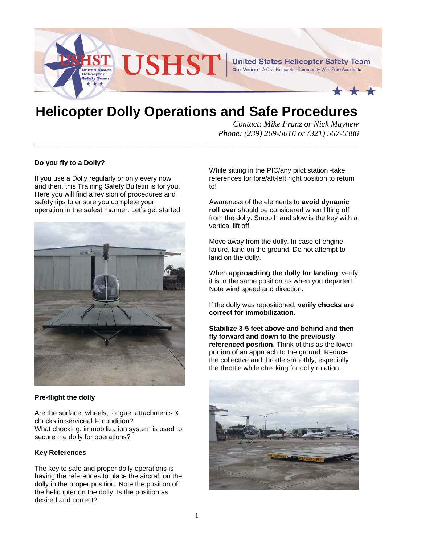

# **Helicopter Dolly Operations and Safe Procedures**

**\_\_\_\_\_\_\_\_\_\_\_\_\_\_\_\_\_\_\_\_\_\_\_\_\_\_\_\_\_\_\_\_\_\_\_\_\_\_\_\_\_\_\_\_\_\_\_\_\_\_\_\_\_\_\_\_\_\_\_\_\_\_\_\_\_\_\_\_\_\_\_\_\_\_\_\_\_\_\_\_\_\_\_\_\_\_\_\_\_\_\_\_\_\_**

*Contact: Mike Franz or Nick Mayhew Phone: (239) 269-5016 or (321) 567-0386* 

## **Do you fly to a Dolly?**

If you use a Dolly regularly or only every now and then, this Training Safety Bulletin is for you. Here you will find a revision of procedures and safety tips to ensure you complete your operation in the safest manner. Let's get started.



#### **Pre-flight the dolly**

Are the surface, wheels, tongue, attachments & chocks in serviceable condition? What chocking, immobilization system is used to secure the dolly for operations?

#### **Key References**

The key to safe and proper dolly operations is having the references to place the aircraft on the dolly in the proper position. Note the position of the helicopter on the dolly. Is the position as desired and correct?

While sitting in the PIC/any pilot station -take references for fore/aft-left right position to return to!

Awareness of the elements to **avoid dynamic roll over** should be considered when lifting off from the dolly. Smooth and slow is the key with a vertical lift off.

Move away from the dolly. In case of engine failure, land on the ground. Do not attempt to land on the dolly.

When **approaching the dolly for landing**, verify it is in the same position as when you departed. Note wind speed and direction.

If the dolly was repositioned, **verify chocks are correct for immobilization**.

**Stabilize 3-5 feet above and behind and then fly forward and down to the previously referenced position**. Think of this as the lower portion of an approach to the ground. Reduce the collective and throttle smoothly, especially the throttle while checking for dolly rotation.